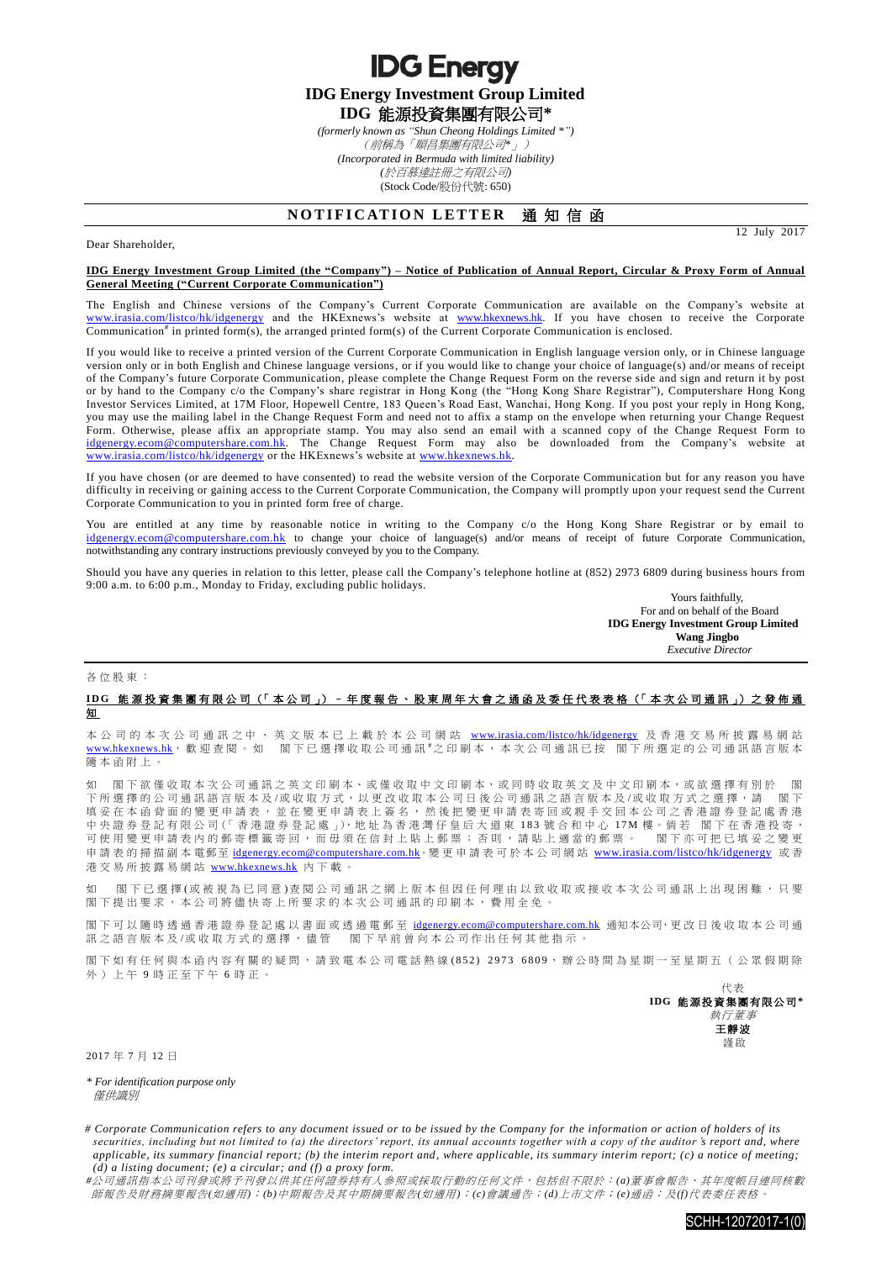**IDG Energy Investment Group Limited IDG** 能源投資集團有限公司**\***

**IDG Energy** 

*(formerly known as "Shun Cheong Holdings Limited \*")*

(前稱為「順昌集團有限公司*\**」) *(Incorporated in Bermuda with limited liability) (*於百慕達註冊之有限公司*)*

(Stock Code/股份代號: 650)

## **NOTIFICATION LETTER 通知信函**

12 July 2017

## **IDG Energy Investment Group Limited (the "Company") – Notice of Publication of Annual Report, Circular & Proxy Form of Annual General Meeting ("Current Corporate Communication")**

The English and Chinese versions of the Company's Current Corporate Communication are available on the Company's website at [www.irasia.com/listco/hk/idgenergy](http://www.irasia.com/listco/hk/idgenergy) and the HKExnews's website at [www.hkexnews.hk.](http://www.hkexnews.hk/) If you have chosen to receive the Corporate Communication<sup>#</sup> in printed form(s), the arranged printed form(s) of the Current Corporate Communication is enclosed.

If you would like to receive a printed version of the Current Corporate Communication in English language version only, or in Chinese language version only or in both English and Chinese language versions, or if you would like to change your choice of language(s) and/or means of receipt of the Company's future Corporate Communication, please complete the Change Request Form on the reverse side and sign and return it by post or by hand to the Company c/o the Company's share registrar in Hong Kong (the "Hong Kong Share Registrar"), Computershare Hong Kong Investor Services Limited, at 17M Floor, Hopewell Centre, 183 Queen's Road East, Wanchai, Hong Kong. If you post your reply in Hong Kong, you may use the mailing label in the Change Request Form and need not to affix a stamp on the envelope when returning your Change Request Form. Otherwise, please affix an appropriate stamp. You may also send an email with a scanned copy of the Change Request Form to [idgenergy.ecom@computershare.com.hk.](mailto:idgenergy.ecom@computershare.com.hk) The Change Request Form may also be downloaded from the Company's website at [www.irasia.com/listco/hk/idgenergy](http://www.irasia.com/listco/hk/idgenergy) or the HKExnews's website at [www.hkexnews.hk.](http://www.hkexnews.hk/)

If you have chosen (or are deemed to have consented) to read the website version of the Corporate Communication but for any reason you have difficulty in receiving or gaining access to the Current Corporate Communication, the Company will promptly upon your request send the Current Corporate Communication to you in printed form free of charge.

You are entitled at any time by reasonable notice in writing to the Company c/o the Hong Kong Share Registrar or by email to [idgenergy.ecom@computershare.com.hk](mailto:idgenergy.ecom@computershare.com.hk) to change your choice of language(s) and/or means of receipt of future Corporate Communication, notwithstanding any contrary instructions previously conveyed by you to the Company.

Should you have any queries in relation to this letter, please call the Company's telephone hotline at (852) 2973 6809 during business hours from 9:00 a.m. to 6:00 p.m., Monday to Friday, excluding public holidays.

> Yours faithfully, For and on behalf of the Board **IDG Energy Investment Group Limited Wang Jingbo** *Executive Director*

各位股東 :

Dear Shareholder,

## **I D G** 能源投資集團有限公司 (「 本 公 司 」) – 年 度 報 告 、 股 東 周 年 大 會 之 通 函 及 委 任 代 表 表 格 (「 本次公司通訊 」) 之 發 佈 通 知

本公司 的 本 次 公 司 通 訊 之 中 、 英 文 版 本 已 上 載 於 本 公 司 網 站 [www.irasia.com/listco/hk/idgenergy](http://www.irasia.com/listco/hk/idgenergy) 及 香 港 交 易 所 披 露 易 網 站 [www.hkexnews.hk](http://www.hkexnews.hk/), 歡 迎 查 閱 。 如 閣下已選擇收取公司通訊 #之印刷本, 本次公司通訊已按 閣下所選定的公司通訊語言版本 隨本函附上 。

如 閣下欲僅收取本次公司通訊之英文印刷本、或僅收取中文印刷本,或同時收取英文及中文印刷本,或欲選擇有別於 閣 下所選擇的公司通訊語言版本及/或收取方式,以更改收取本公司日後公司通訊之語言版本及/或收取方式之選擇,請 閣下 填妥在本函背面的變更申請表,並在變更申請表上簽名,然後把變更申請表寄回或親手交回本公司之香港證券登記處香港 中央證券登記有限公司(「香港證券登記處」),地址為香港灣仔皇后大道東 183 號合和中心 17M 樓。倘若 閣下在香港投寄, 可使用變更申請表內的郵寄標籤寄回,而毋須在信封上貼上郵票;否則,請貼上適當的郵票。 閣下亦可把已填妥之變更 申請表的掃描副本電郵至 idgenergy.ecom@computershare.com.hk。變更申請表可於本公司網站 [www.irasia.com/listco/hk/idgenergy](http://www.irasia.com/listco/hk/idgenergy) 或香 港交易所披露易網站 [www.hkexnews.hk](http://www.hkexnews.hk/) 內 下載。

閣下已 選 擇(或 被 視 為 已 同 意) 查 閱 公 司 通 訊 之 網 上 版 本 但 因 任 何 理 由 以 致 收 取 或 接 收 本 次 公 司 通 訊 上 出 現 困 難 , 只 要 閣 下 提出要求, 本公司將儘 快寄上所要求的 本次公司通訊 的印刷本,費用全免。

閣下可以隨時透過香港證券登記處以書面或透過電郵至 idgenergy.ecom@computershare.com.hk 通知本公司,更改日後收取本公司通 訊之語言版本及/或收取方式的選擇,儘管 閣下早前曾向本公司作出任何其他指示。

閣下如有任何與本函內容有關的疑問,請致電本公司電話熱線(852) 2973 6809,辦公時間為星期一至星期五(公眾假期除 外)上午 9 時正至下午 6 時正。

> 代表 **IDG** 能源投資集團有限公司 **\*** 執行董事 王靜波 謹啟

2017 年 7 月 12 日

*\* For identification purpose only* 僅供識別

*# Corporate Communication refers to any document issued or to be issued by the Company for the information or action of holders of its securities, including but not limited to (a) the directors' report, its annual accounts together with a copy of the auditor 's report and, where applicable, its summary financial report; (b) the interim report and, where applicable, its summary interim report; (c) a notice of meeting; (d) a listing document; (e) a circular; and (f) a proxy form.*

*#*公司通訊指本公司刊發或將予刊發以供其任何證券持有人參照或採取行動的任何文件,包括但不限於:*(a)*董事會報告、其年度帳目連同核數 師報告及財務摘要報告*(*如適用*)*;*(b)*中期報告及其中期摘要報告*(*如適用*)*;*(c)*會議通告;*(d)*上市文件;*(e)*通函;及*(f)*代表委任表格。